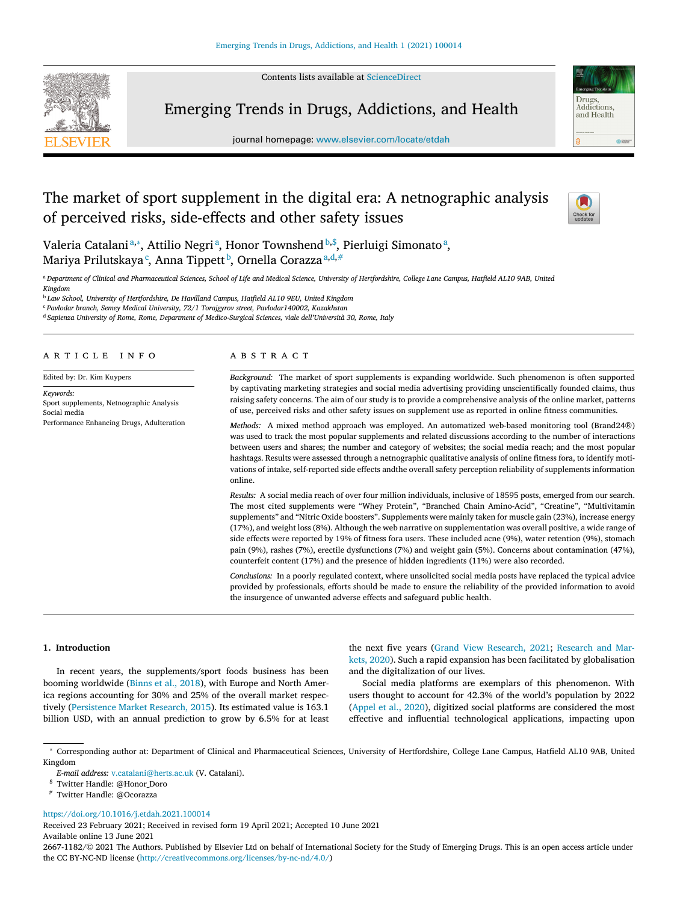Contents lists available at [ScienceDirect](http://www.ScienceDirect.com)



Emerging Trends in Drugs, Addictions, and Health



# The market of sport supplement in the digital era: A netnographic analysis of perceived risks, side-effects and other safety issues



Drugs Addictions and Health

 $rac{1}{2}$ 

Valeria Catalaniª,\*, Attilio Negriª, Honor Townshend<sup>b,\$</sup>, Pierluigi Simonatoª, Mariya Prilutskaya<sup>c</sup>, Anna Tippett<sup>b</sup>, Ornella Corazza<sup>a,d,#</sup>

a Department of Clinical and Pharmaceutical Sciences, School of Life and Medical Science, University of Hertfordshire, College Lane Campus, Hatfield AL10 9AB, United *Kingdom*

<sup>b</sup> *Law School, University of Hertfordshire, De Havilland Campus, Hatfield AL10 9EU, United Kingdom*

<sup>c</sup> *Pavlodar branch, Semey Medical University, 72/1 Torajgyrov street, Pavlodar140002, Kazakhstan*

<sup>d</sup> *Sapienza University of Rome, Rome, Department of Medico-Surgical Sciences, viale dell'Università 30, Rome, Italy*

#### a r t i c l e i n f o

Edited by: Dr. Kim Kuypers

*Keywords:* Sport supplements, Netnographic Analysis Social media Performance Enhancing Drugs, Adulteration

#### A B S T R A C T

*Background:* The market of sport supplements is expanding worldwide. Such phenomenon is often supported by captivating marketing strategies and social media advertising providing unscientifically founded claims, thus raising safety concerns. The aim of our study is to provide a comprehensive analysis of the online market, patterns of use, perceived risks and other safety issues on supplement use as reported in online fitness communities.

*Methods:* A mixed method approach was employed. An automatized web-based monitoring tool (Brand24®) was used to track the most popular supplements and related discussions according to the number of interactions between users and shares; the number and category of websites; the social media reach; and the most popular hashtags. Results were assessed through a netnographic qualitative analysis of online fitness fora, to identify motivations of intake, self-reported side effects andthe overall safety perception reliability of supplements information online.

*Results:* A social media reach of over four million individuals, inclusive of 18595 posts, emerged from our search. The most cited supplements were "Whey Protein", "Branched Chain Amino-Acid", "Creatine", "Multivitamin supplements" and "Nitric Oxide boosters". Supplements were mainly taken for muscle gain (23%), increase energy (17%), and weight loss (8%). Although the web narrative on supplementation was overall positive, a wide range of side effects were reported by 19% of fitness fora users. These included acne (9%), water retention (9%), stomach pain (9%), rashes (7%), erectile dysfunctions (7%) and weight gain (5%). Concerns about contamination (47%), counterfeit content (17%) and the presence of hidden ingredients (11%) were also recorded.

*Conclusions:* In a poorly regulated context, where unsolicited social media posts have replaced the typical advice provided by professionals, efforts should be made to ensure the reliability of the provided information to avoid the insurgence of unwanted adverse effects and safeguard public health.

# **1. Introduction**

In recent years, the supplements/sport foods business has been booming worldwide [\(Binns](#page-7-0) et al., 2018), with Europe and North America regions accounting for 30% and 25% of the overall market respectively [\(Persistence](#page-7-0) Market Research, 2015). Its estimated value is 163.1 billion USD, with an annual prediction to grow by 6.5% for at least the next five years (Grand View [Research,](#page-7-0) 2021; Research and Markets, 2020). Such a rapid expansion has been facilitated by [globalisation](#page-7-0) and the digitalization of our lives.

Social media platforms are exemplars of this phenomenon. With users thought to account for 42.3% of the world's population by 2022 [\(Appel](#page-7-0) et al., 2020), digitized social platforms are considered the most effective and influential technological applications, impacting upon

### <https://doi.org/10.1016/j.etdah.2021.100014>

Received 23 February 2021; Received in revised form 19 April 2021; Accepted 10 June 2021 Available online 13 June 2021

2667-1182/© 2021 The Authors. Published by Elsevier Ltd on behalf of International Society for the Study of Emerging Drugs. This is an open access article under the CC BY-NC-ND license [\(http://creativecommons.org/licenses/by-nc-nd/4.0/\)](http://creativecommons.org/licenses/by-nc-nd/4.0/)

<sup>∗</sup> Corresponding author at: Department of Clinical and Pharmaceutical Sciences, University of Hertfordshire, College Lane Campus, Hatfield AL10 9AB, United Kingdom

*E-mail address:* [v.catalani@herts.ac.uk](mailto:v.catalani@herts.ac.uk) (V. Catalani).

<sup>\$</sup> Twitter Handle: @Honor\_Doro

<sup>#</sup> Twitter Handle: @Ocorazza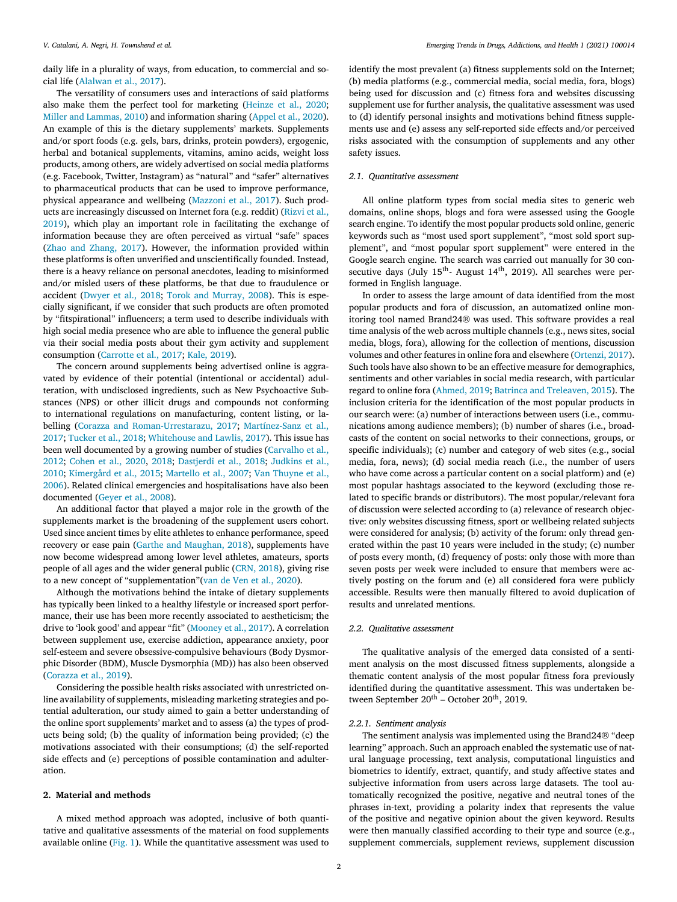daily life in a plurality of ways, from education, to commercial and social life [\(Alalwan](#page-6-0) et al., 2017).

The versatility of consumers uses and interactions of said platforms also make them the perfect tool for marketing [\(Heinze](#page-7-0) et al., 2020; Miller and [Lammas,](#page-7-0) 2010) and information sharing [\(Appel](#page-7-0) et al., 2020). An example of this is the dietary supplements' markets. Supplements and/or sport foods (e.g. gels, bars, drinks, protein powders), ergogenic, herbal and botanical supplements, vitamins, amino acids, weight loss products, among others, are widely advertised on social media platforms (e.g. Facebook, Twitter, Instagram) as "natural" and "safer" alternatives to pharmaceutical products that can be used to improve performance, physical appearance and wellbeing [\(Mazzoni](#page-7-0) et al., 2017). Such products are [increasingly](#page-7-0) discussed on Internet fora (e.g. reddit) (Rizvi et al., 2019), which play an important role in facilitating the exchange of information because they are often perceived as virtual "safe" spaces (Zhao and [Zhang,](#page-7-0) 2017). However, the information provided within these platforms is often unverified and unscientifically founded. Instead, there is a heavy reliance on personal anecdotes, leading to misinformed and/or misled users of these platforms, be that due to fraudulence or accident [\(Dwyer](#page-7-0) et al., 2018; Torok and [Murray,](#page-7-0) 2008). This is especially significant, if we consider that such products are often promoted by "fitspirational" influencers; a term used to describe individuals with high social media presence who are able to influence the general public via their social media posts about their gym activity and supplement consumption [\(Carrotte](#page-7-0) et al., 2017; Kale, [2019\)](#page-7-0).

The concern around supplements being advertised online is aggravated by evidence of their potential (intentional or accidental) adulteration, with undisclosed ingredients, such as New Psychoactive Substances (NPS) or other illicit drugs and compounds not conforming to international regulations on manufacturing, content listing, or labelling (Corazza and [Roman-Urrestarazu,](#page-7-0) 2017; Martínez-Sanz et al., 2017; [Tucker](#page-7-0) et al., 2018; [Whitehouse](#page-7-0) and Lawlis, 2017). This issue has been well [documented](#page-7-0) by a growing number of studies (Carvalho et al., 2012; [Cohen](#page-7-0) et al., 2020, [2018;](#page-7-0) [Dastjerdi](#page-7-0) et al., 2018; Judkins et al., 2010; [Kimergård](#page-7-0) et al., 2015; [Martello](#page-7-0) et al., 2007; Van Thuyne et al., 2006). Related clinical emergencies and [hospitalisations](#page-7-0) have also been documented [\(Geyer](#page-7-0) et al., 2008).

An additional factor that played a major role in the growth of the supplements market is the broadening of the supplement users cohort. Used since ancient times by elite athletes to enhance performance, speed recovery or ease pain (Garthe and [Maughan,](#page-7-0) 2018), supplements have now become widespread among lower level athletes, amateurs, sports people of all ages and the wider general public [\(CRN,](#page-7-0) 2018), giving rise to a new concept of "supplementation"(van de Ven et al., [2020\)](#page-7-0).

Although the motivations behind the intake of dietary supplements has typically been linked to a healthy lifestyle or increased sport performance, their use has been more recently associated to aestheticism; the drive to 'look good' and appear "fit" [\(Mooney](#page-7-0) et al., 2017). A correlation between supplement use, exercise addiction, appearance anxiety, poor self-esteem and severe obsessive-compulsive behaviours (Body Dysmorphic Disorder (BDM), Muscle Dysmorphia (MD)) has also been observed [\(Corazza](#page-7-0) et al., 2019).

Considering the possible health risks associated with unrestricted online availability of supplements, misleading marketing strategies and potential adulteration, our study aimed to gain a better understanding of the online sport supplements' market and to assess (a) the types of products being sold; (b) the quality of information being provided; (c) the motivations associated with their consumptions; (d) the self-reported side effects and (e) perceptions of possible contamination and adulteration.

# **2. Material and methods**

A mixed method approach was adopted, inclusive of both quantitative and qualitative assessments of the material on food supplements available online [\(Fig.](#page-2-0) 1). While the quantitative assessment was used to identify the most prevalent (a) fitness supplements sold on the Internet; (b) media platforms (e.g., commercial media, social media, fora, blogs) being used for discussion and (c) fitness fora and websites discussing supplement use for further analysis, the qualitative assessment was used to (d) identify personal insights and motivations behind fitness supplements use and (e) assess any self-reported side effects and/or perceived risks associated with the consumption of supplements and any other safety issues.

# *2.1. Quantitative assessment*

All online platform types from social media sites to generic web domains, online shops, blogs and fora were assessed using the Google search engine. To identify the most popular products sold online, generic keywords such as "most used sport supplement", "most sold sport supplement", and "most popular sport supplement" were entered in the Google search engine. The search was carried out manually for 30 consecutive days (July 15<sup>th</sup>- August 14<sup>th</sup>, 2019). All searches were performed in English language.

In order to assess the large amount of data identified from the most popular products and fora of discussion, an automatized online monitoring tool named Brand24® was used. This software provides a real time analysis of the web across multiple channels (e.g., news sites, social media, blogs, fora), allowing for the collection of mentions, discussion volumes and other features in online fora and elsewhere [\(Ortenzi,](#page-7-0) 2017). Such tools have also shown to be an effective measure for demographics, sentiments and other variables in social media research, with particular regard to online fora [\(Ahmed,](#page-6-0) 2019; Batrinca and [Treleaven,](#page-7-0) 2015). The inclusion criteria for the identification of the most popular products in our search were: (a) number of interactions between users (i.e., communications among audience members); (b) number of shares (i.e., broadcasts of the content on social networks to their connections, groups, or specific individuals); (c) number and category of web sites (e.g., social media, fora, news); (d) social media reach (i.e., the number of users who have come across a particular content on a social platform) and (e) most popular hashtags associated to the keyword (excluding those related to specific brands or distributors). The most popular/relevant fora of discussion were selected according to (a) relevance of research objective: only websites discussing fitness, sport or wellbeing related subjects were considered for analysis; (b) activity of the forum: only thread generated within the past 10 years were included in the study; (c) number of posts every month, (d) frequency of posts: only those with more than seven posts per week were included to ensure that members were actively posting on the forum and (e) all considered fora were publicly accessible. Results were then manually filtered to avoid duplication of results and unrelated mentions.

# *2.2. Qualitative assessment*

The qualitative analysis of the emerged data consisted of a sentiment analysis on the most discussed fitness supplements, alongside a thematic content analysis of the most popular fitness fora previously identified during the quantitative assessment. This was undertaken between September  $20^{th}$  – October  $20^{th}$ , 2019.

#### *2.2.1. Sentiment analysis*

The sentiment analysis was implemented using the Brand24® "deep learning" approach. Such an approach enabled the systematic use of natural language processing, text analysis, computational linguistics and biometrics to identify, extract, quantify, and study affective states and subjective information from users across large datasets. The tool automatically recognized the positive, negative and neutral tones of the phrases in-text, providing a polarity index that represents the value of the positive and negative opinion about the given keyword. Results were then manually classified according to their type and source (e.g., supplement commercials, supplement reviews, supplement discussion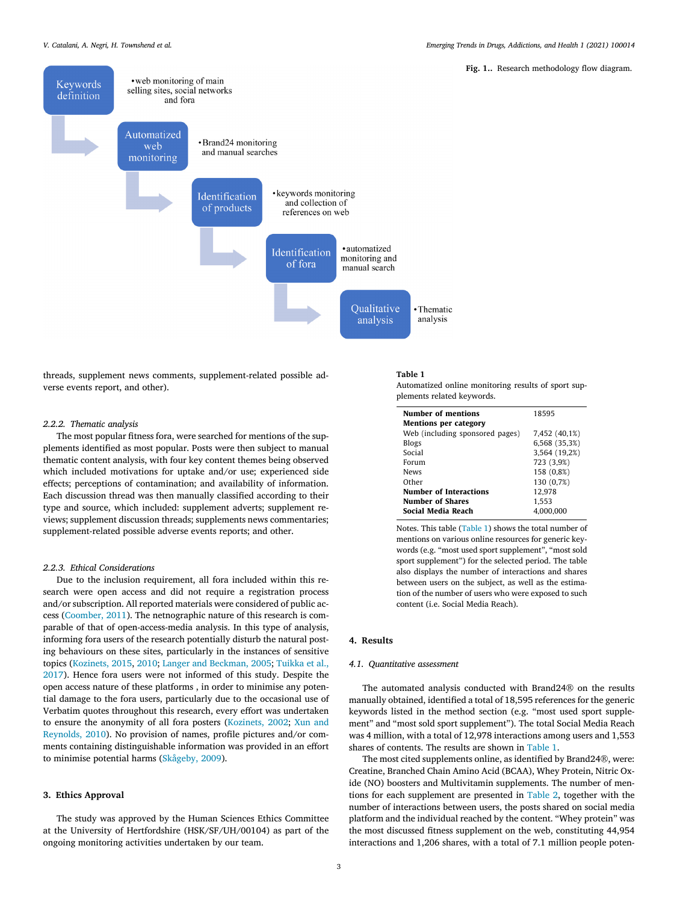**Fig. 1..** Research methodology flow diagram.

<span id="page-2-0"></span>

threads, supplement news comments, supplement-related possible adverse events report, and other).

# *2.2.2. Thematic analysis*

The most popular fitness fora, were searched for mentions of the supplements identified as most popular. Posts were then subject to manual thematic content analysis, with four key content themes being observed which included motivations for uptake and/or use; experienced side effects; perceptions of contamination; and availability of information. Each discussion thread was then manually classified according to their type and source, which included: supplement adverts; supplement reviews; supplement discussion threads; supplements news commentaries; supplement-related possible adverse events reports; and other.

#### *2.2.3. Ethical Considerations*

Due to the inclusion requirement, all fora included within this research were open access and did not require a registration process and/or subscription. All reported materials were considered of public access [\(Coomber,](#page-7-0) 2011). The netnographic nature of this research is comparable of that of open-access-media analysis. In this type of analysis, informing fora users of the research potentially disturb the natural posting behaviours on these sites, particularly in the instances of sensitive topics [\(Kozinets,](#page-7-0) 2015, [2010;](#page-7-0) Langer and [Beckman,](#page-7-0) 2005; Tuikka et al., 2017). Hence fora users were not informed of this study. Despite the open access nature of these platforms , in order to minimise any potential damage to the fora users, particularly due to the occasional use of Verbatim quotes throughout this research, every effort was undertaken to ensure the [anonymity](#page-7-0) of all fora posters [\(Kozinets,](#page-7-0) 2002; Xun and Reynolds, 2010). No provision of names, profile pictures and/or comments containing distinguishable information was provided in an effort to minimise potential harms [\(Skågeby,](#page-7-0) 2009).

#### **3. Ethics Approval**

The study was approved by the Human Sciences Ethics Committee at the University of Hertfordshire (HSK/SF/UH/00104) as part of the ongoing monitoring activities undertaken by our team.

#### **Table 1**

Automatized online monitoring results of sport supplements related keywords.

| Number of mentions              | 18595         |
|---------------------------------|---------------|
| <b>Mentions per category</b>    |               |
| Web (including sponsored pages) | 7,452 (40,1%) |
| Blogs                           | 6,568 (35,3%) |
| Social                          | 3,564 (19,2%) |
| Forum                           | 723 (3,9%)    |
| News                            | 158 (0,8%)    |
| Other                           | 130 (0,7%)    |
| <b>Number of Interactions</b>   | 12.978        |
| Number of Shares                | 1.553         |
| Social Media Reach              | 4.000.000     |

Notes. This table (Table 1) shows the total number of mentions on various online resources for generic keywords (e.g. "most used sport supplement", "most sold sport supplement") for the selected period. The table also displays the number of interactions and shares between users on the subject, as well as the estimation of the number of users who were exposed to such content (i.e. Social Media Reach).

#### **4. Results**

# *4.1. Quantitative assessment*

The automated analysis conducted with Brand24® on the results manually obtained, identified a total of 18,595 references for the generic keywords listed in the method section (e.g. "most used sport supplement" and "most sold sport supplement"). The total Social Media Reach was 4 million, with a total of 12,978 interactions among users and 1,553 shares of contents. The results are shown in Table 1.

The most cited supplements online, as identified by Brand24®, were: Creatine, Branched Chain Amino Acid (BCAA), Whey Protein, Nitric Oxide (NO) boosters and Multivitamin supplements. The number of mentions for each supplement are presented in [Table](#page-3-0) 2, together with the number of interactions between users, the posts shared on social media platform and the individual reached by the content. "Whey protein" was the most discussed fitness supplement on the web, constituting 44,954 interactions and 1,206 shares, with a total of 7.1 million people poten-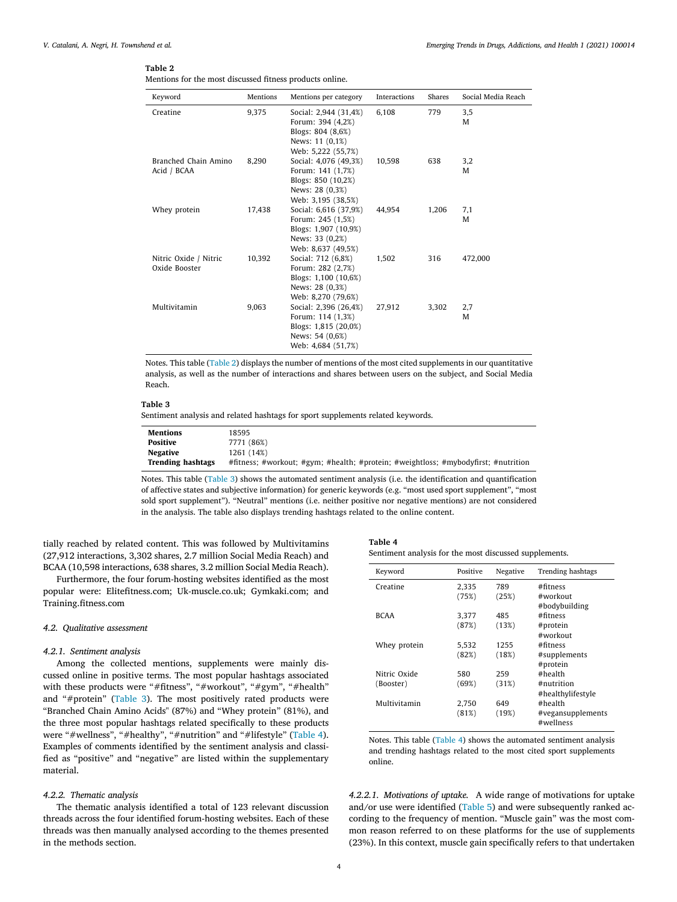# <span id="page-3-0"></span>**Table 2**

|  |  | Mentions for the most discussed fitness products online. |  |  |
|--|--|----------------------------------------------------------|--|--|
|  |  |                                                          |  |  |

| Keyword                                | Mentions | Mentions per category                                                                                       | <b>Interactions</b> | <b>Shares</b> | Social Media Reach |
|----------------------------------------|----------|-------------------------------------------------------------------------------------------------------------|---------------------|---------------|--------------------|
| Creatine                               | 9.375    | Social: 2,944 (31,4%)<br>Forum: 394 (4,2%)<br>Blogs: 804 (8,6%)<br>News: 11 (0,1%)<br>Web: 5,222 (55,7%)    | 6.108               | 779           | 3,5<br>M           |
| Branched Chain Amino<br>Acid / BCAA    | 8,290    | Social: 4,076 (49,3%)<br>Forum: 141 (1,7%)<br>Blogs: 850 (10,2%)<br>News: 28 (0,3%)<br>Web: 3,195 (38,5%)   | 10,598              | 638           | 3,2<br>M           |
| Whey protein                           | 17,438   | Social: 6,616 (37,9%)<br>Forum: 245 (1,5%)<br>Blogs: 1,907 (10,9%)<br>News: 33 (0,2%)<br>Web: 8,637 (49,5%) | 44,954              | 1,206         | 7,1<br>M           |
| Nitric Oxide / Nitric<br>Oxide Booster | 10,392   | Social: 712 (6,8%)<br>Forum: 282 (2,7%)<br>Blogs: 1,100 (10,6%)<br>News: 28 (0,3%)<br>Web: 8,270 (79,6%)    | 1,502               | 316           | 472,000            |
| Multivitamin                           | 9,063    | Social: 2,396 (26,4%)<br>Forum: 114 (1,3%)<br>Blogs: 1,815 (20,0%)<br>News: 54 (0,6%)<br>Web: 4,684 (51,7%) | 27,912              | 3,302         | 2,7<br>M           |

Notes. This table (Table 2) displays the number of mentions of the most cited supplements in our quantitative analysis, as well as the number of interactions and shares between users on the subject, and Social Media Reach.

#### **Table 3**

Sentiment analysis and related hashtags for sport supplements related keywords.

| Mentions          | 18595                                                                              |
|-------------------|------------------------------------------------------------------------------------|
| Positive          | 7771 (86%)                                                                         |
| Negative          | 1261 (14%)                                                                         |
| Trending hashtags | #fitness; #workout; #gym; #health; #protein; #weightloss; #mybodyfirst; #nutrition |

Notes. This table (Table 3) shows the automated sentiment analysis (i.e. the identification and quantification of affective states and subjective information) for generic keywords (e.g. "most used sport supplement", "most sold sport supplement"). "Neutral" mentions (i.e. neither positive nor negative mentions) are not considered in the analysis. The table also displays trending hashtags related to the online content.

tially reached by related content. This was followed by Multivitamins (27,912 interactions, 3,302 shares, 2.7 million Social Media Reach) and BCAA (10,598 interactions, 638 shares, 3.2 million Social Media Reach).

Furthermore, the four forum-hosting websites identified as the most popular were: Elitefitness.com; Uk-muscle.co.uk; Gymkaki.com; and Training.fitness.com

# *4.2. Qualitative assessment*

# *4.2.1. Sentiment analysis*

Among the collected mentions, supplements were mainly discussed online in positive terms. The most popular hashtags associated with these products were "#fitness", "#workout", "#gym", "#health" and "#protein" (Table 3). The most positively rated products were "Branched Chain Amino Acids" (87%) and "Whey protein" (81%), and the three most popular hashtags related specifically to these products were "#wellness", "#healthy", "#nutrition" and "#lifestyle" (Table 4). Examples of comments identified by the sentiment analysis and classified as "positive" and "negative" are listed within the supplementary material.

#### *4.2.2. Thematic analysis*

The thematic analysis identified a total of 123 relevant discussion threads across the four identified forum-hosting websites. Each of these threads was then manually analysed according to the themes presented in the methods section.

| Table 4                                                |
|--------------------------------------------------------|
| Sentiment analysis for the most discussed supplements. |

| Keyword      | Positive | Negative | <b>Trending hashtags</b>       |
|--------------|----------|----------|--------------------------------|
| Creatine     | 2.335    | 789      | #fitness                       |
|              | (75%)    | (25%)    | #workout                       |
|              |          |          | #bodybuilding                  |
| <b>RCAA</b>  | 3.377    | 485      | #fitness                       |
|              | (87%)    | (13%)    | #protein                       |
|              |          |          | #workout                       |
| Whey protein | 5.532    | 1255     | #fitness                       |
|              | (82%)    | (18%)    | #supplements                   |
|              |          |          | #protein                       |
| Nitric Oxide | 580      | 259      | #health                        |
| (Booster)    | (69%)    | (31%)    | $#$ nutrition                  |
|              |          |          | #healthylifestyle              |
| Multivitamin | 2.750    | 649      | #health                        |
|              | (81%)    | (19%)    | #vegansupplements<br>#wellness |

Notes. This table (Table 4) shows the automated sentiment analysis and trending hashtags related to the most cited sport supplements online.

*4.2.2.1. Motivations of uptake.* A wide range of motivations for uptake and/or use were identified [\(Table](#page-4-0) 5) and were subsequently ranked according to the frequency of mention. "Muscle gain" was the most common reason referred to on these platforms for the use of supplements (23%). In this context, muscle gain specifically refers to that undertaken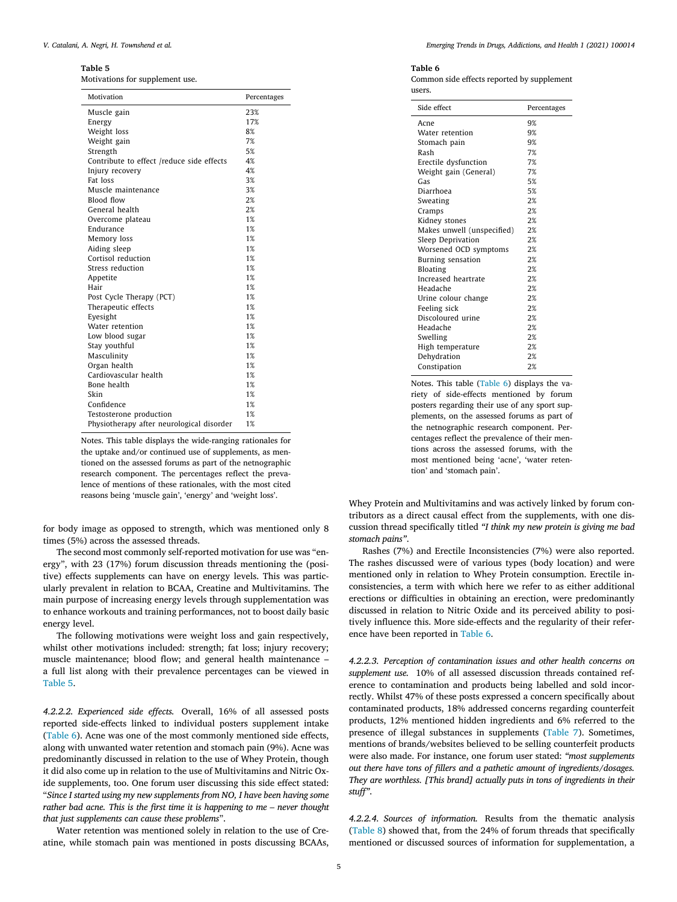#### <span id="page-4-0"></span>**Table 5**

Motivations for supplement use.

| Motivation                                | Percentages |
|-------------------------------------------|-------------|
| Muscle gain                               | 23%         |
| Energy                                    | 17%         |
| Weight loss                               | 8%          |
| Weight gain                               | 7%          |
| Strength                                  | 5%          |
| Contribute to effect /reduce side effects | 4%          |
| Injury recovery                           | 4%          |
| Fat loss                                  | 3%          |
| Muscle maintenance                        | 3%          |
| Blood flow                                | 2%          |
| General health                            | 2%          |
| Overcome plateau                          | 1%          |
| Endurance                                 | 1%          |
| Memory loss                               | 1%          |
| Aiding sleep                              | 1%          |
| Cortisol reduction                        | 1%          |
| Stress reduction                          | 1%          |
| Appetite                                  | 1%          |
| Hair                                      | 1%          |
| Post Cycle Therapy (PCT)                  | 1%          |
| Therapeutic effects                       | 1%          |
| Evesight                                  | 1%          |
| Water retention                           | 1%          |
| Low blood sugar                           | 1%          |
| Stay youthful                             | 1%          |
| Masculinity                               | 1%          |
| Organ health                              | 1%          |
| Cardiovascular health                     | 1%          |
| Bone health                               | 1%          |
| Skin                                      | 1%          |
| Confidence                                | 1%          |
| Testosterone production                   | 1%          |
| Physiotherapy after neurological disorder | 1%          |

Notes. This table displays the wide-ranging rationales for the uptake and/or continued use of supplements, as mentioned on the assessed forums as part of the netnographic research component. The percentages reflect the prevalence of mentions of these rationales, with the most cited reasons being 'muscle gain', 'energy' and 'weight loss'.

for body image as opposed to strength, which was mentioned only 8 times (5%) across the assessed threads.

The second most commonly self-reported motivation for use was "energy", with 23 (17%) forum discussion threads mentioning the (positive) effects supplements can have on energy levels. This was particularly prevalent in relation to BCAA, Creatine and Multivitamins. The main purpose of increasing energy levels through supplementation was to enhance workouts and training performances, not to boost daily basic energy level.

The following motivations were weight loss and gain respectively, whilst other motivations included: strength; fat loss; injury recovery; muscle maintenance; blood flow; and general health maintenance – a full list along with their prevalence percentages can be viewed in Table 5.

*4.2.2.2. Experienced side effects.* Overall, 16% of all assessed posts reported side-effects linked to individual posters supplement intake (Table 6). Acne was one of the most commonly mentioned side effects, along with unwanted water retention and stomach pain (9%). Acne was predominantly discussed in relation to the use of Whey Protein, though it did also come up in relation to the use of Multivitamins and Nitric Oxide supplements, too. One forum user discussing this side effect stated: "*Since I started using my new supplements from NO, I have been having some rather bad acne. This is the first time it is happening to me – never thought that just supplements can cause these problems*".

Water retention was mentioned solely in relation to the use of Creatine, while stomach pain was mentioned in posts discussing BCAAs,

#### **Table 6**

Common side effects reported by supplement users.

| Side effect                | Percentages |
|----------------------------|-------------|
| Acne                       | 9%          |
| Water retention            | 9%          |
| Stomach pain               | 9%          |
| Rash                       | 7%          |
| Erectile dysfunction       | 7%          |
| Weight gain (General)      | 7%          |
| Gas                        | 5%          |
| Diarrhoea                  | 5%          |
| Sweating                   | 2%          |
| Cramps                     | 2%          |
| Kidney stones              | 2%          |
| Makes unwell (unspecified) | 2%          |
| Sleep Deprivation          | 2%          |
| Worsened OCD symptoms      | 2%          |
| Burning sensation          | 2%          |
| <b>Bloating</b>            | 2%          |
| Increased heartrate        | 2%          |
| Headache                   | 2%          |
| Urine colour change        | 2%          |
| Feeling sick               | 2%          |
| Discoloured urine          | 2%          |
| Headache                   | 2%          |
| Swelling                   | 2%          |
| High temperature           | 2%          |
| Dehydration                | 2%          |
| Constipation               | 2%          |

Notes. This table (Table 6) displays the variety of side-effects mentioned by forum posters regarding their use of any sport supplements, on the assessed forums as part of the netnographic research component. Percentages reflect the prevalence of their mentions across the assessed forums, with the most mentioned being 'acne', 'water retention' and 'stomach pain'.

Whey Protein and Multivitamins and was actively linked by forum contributors as a direct causal effect from the supplements, with one discussion thread specifically titled *"I think my new protein is giving me bad stomach pains"*.

Rashes (7%) and Erectile Inconsistencies (7%) were also reported. The rashes discussed were of various types (body location) and were mentioned only in relation to Whey Protein consumption. Erectile inconsistencies, a term with which here we refer to as either additional erections or difficulties in obtaining an erection, were predominantly discussed in relation to Nitric Oxide and its perceived ability to positively influence this. More side-effects and the regularity of their reference have been reported in Table 6.

*4.2.2.3. Perception of contamination issues and other health concerns on supplement use.* 10% of all assessed discussion threads contained reference to contamination and products being labelled and sold incorrectly. Whilst 47% of these posts expressed a concern specifically about contaminated products, 18% addressed concerns regarding counterfeit products, 12% mentioned hidden ingredients and 6% referred to the presence of illegal substances in supplements [\(Table](#page-5-0) 7). Sometimes, mentions of brands/websites believed to be selling counterfeit products were also made. For instance, one forum user stated: *"most supplements out there have tons of fillers and a pathetic amount of ingredients/dosages. They are worthless. [This brand] actually puts in tons of ingredients in their stuff"*.

*4.2.2.4. Sources of information.* Results from the thematic analysis [\(Table](#page-5-0) 8) showed that, from the 24% of forum threads that specifically mentioned or discussed sources of information for supplementation, a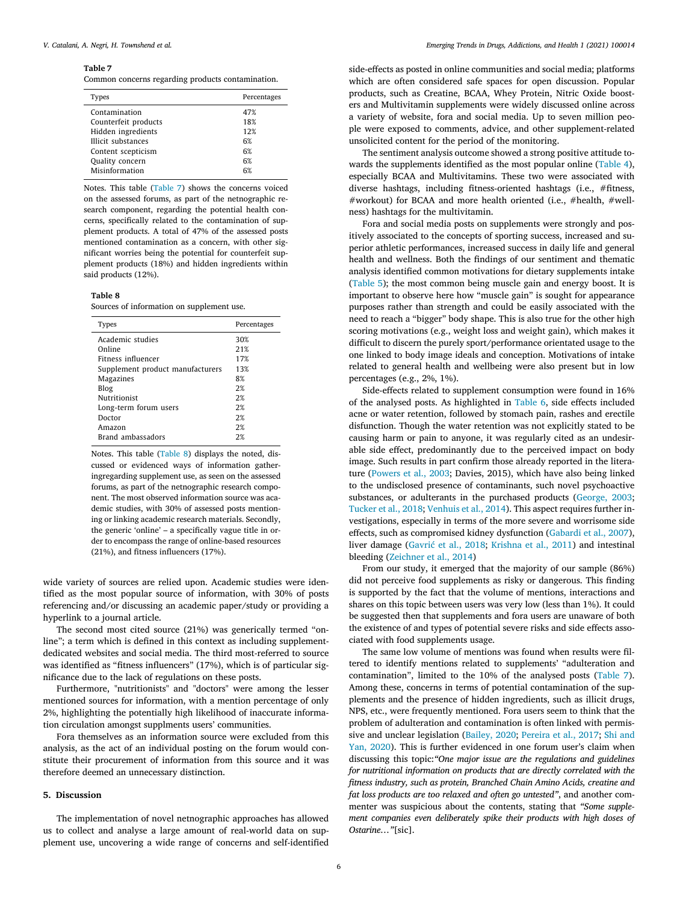#### <span id="page-5-0"></span>**Table 7**

Common concerns regarding products contamination.

| Types                     | Percentages |
|---------------------------|-------------|
| Contamination             | 47%         |
| Counterfeit products      | 18%         |
| Hidden ingredients        | 12%         |
| <b>Illicit substances</b> | 6%          |
| Content scepticism        | 6%          |
| Quality concern           | 6%          |
| Misinformation            | 6%          |
|                           |             |

Notes. This table (Table 7) shows the concerns voiced on the assessed forums, as part of the netnographic research component, regarding the potential health concerns, specifically related to the contamination of supplement products. A total of 47% of the assessed posts mentioned contamination as a concern, with other significant worries being the potential for counterfeit supplement products (18%) and hidden ingredients within said products (12%).

# **Table 8**

Sources of information on supplement use.

| Percentages |
|-------------|
|             |
|             |
|             |
|             |
|             |
|             |
|             |
|             |
|             |
|             |
|             |
|             |

Notes. This table (Table 8) displays the noted, discussed or evidenced ways of information gatheringregarding supplement use, as seen on the assessed forums, as part of the netnographic research component. The most observed information source was academic studies, with 30% of assessed posts mentioning or linking academic research materials. Secondly, the generic 'online' – a specifically vague title in order to encompass the range of online-based resources (21%), and fitness influencers (17%).

wide variety of sources are relied upon. Academic studies were identified as the most popular source of information, with 30% of posts referencing and/or discussing an academic paper/study or providing a hyperlink to a journal article.

The second most cited source (21%) was generically termed "online"; a term which is defined in this context as including supplementdedicated websites and social media. The third most-referred to source was identified as "fitness influencers" (17%), which is of particular significance due to the lack of regulations on these posts.

Furthermore, "nutritionists" and "doctors" were among the lesser mentioned sources for information, with a mention percentage of only 2%, highlighting the potentially high likelihood of inaccurate information circulation amongst supplments users' communities.

Fora themselves as an information source were excluded from this analysis, as the act of an individual posting on the forum would constitute their procurement of information from this source and it was therefore deemed an unnecessary distinction.

# **5. Discussion**

The implementation of novel netnographic approaches has allowed us to collect and analyse a large amount of real-world data on supplement use, uncovering a wide range of concerns and self-identified

side-effects as posted in online communities and social media; platforms which are often considered safe spaces for open discussion. Popular products, such as Creatine, BCAA, Whey Protein, Nitric Oxide boosters and Multivitamin supplements were widely discussed online across a variety of website, fora and social media. Up to seven million people were exposed to comments, advice, and other supplement-related unsolicited content for the period of the monitoring.

The sentiment analysis outcome showed a strong positive attitude towards the supplements identified as the most popular online [\(Table](#page-3-0) 4), especially BCAA and Multivitamins. These two were associated with diverse hashtags, including fitness-oriented hashtags (i.e., #fitness, #workout) for BCAA and more health oriented (i.e., #health, #wellness) hashtags for the multivitamin.

Fora and social media posts on supplements were strongly and positively associated to the concepts of sporting success, increased and superior athletic performances, increased success in daily life and general health and wellness. Both the findings of our sentiment and thematic analysis identified common motivations for dietary supplements intake [\(Table](#page-4-0) 5); the most common being muscle gain and energy boost. It is important to observe here how "muscle gain" is sought for appearance purposes rather than strength and could be easily associated with the need to reach a "bigger" body shape. This is also true for the other high scoring motivations (e.g., weight loss and weight gain), which makes it difficult to discern the purely sport/performance orientated usage to the one linked to body image ideals and conception. Motivations of intake related to general health and wellbeing were also present but in low percentages (e.g., 2%, 1%).

Side-effects related to supplement consumption were found in 16% of the analysed posts. As highlighted in [Table](#page-4-0) 6, side effects included acne or water retention, followed by stomach pain, rashes and erectile disfunction. Though the water retention was not explicitly stated to be causing harm or pain to anyone, it was regularly cited as an undesirable side effect, predominantly due to the perceived impact on body image. Such results in part confirm those already reported in the literature [\(Powers](#page-7-0) et al., 2003; Davies, 2015), which have also being linked to the undisclosed presence of contaminants, such novel psychoactive substances, or adulterants in the purchased products [\(George,](#page-7-0) 2003; [Tucker](#page-7-0) et al., 2018; [Venhuis](#page-7-0) et al., 2014). This aspect requires further investigations, especially in terms of the more severe and worrisome side effects, such as compromised kidney dysfunction [\(Gabardi](#page-7-0) et al., 2007), liver damage [\(Gavrić et](#page-7-0) al., 2018; [Krishna](#page-7-0) et al., 2011) and intestinal bleeding [\(Zeichner](#page-7-0) et al., 2014)

From our study, it emerged that the majority of our sample (86%) did not perceive food supplements as risky or dangerous. This finding is supported by the fact that the volume of mentions, interactions and shares on this topic between users was very low (less than 1%). It could be suggested then that supplements and fora users are unaware of both the existence of and types of potential severe risks and side effects associated with food supplements usage.

The same low volume of mentions was found when results were filtered to identify mentions related to supplements' "adulteration and contamination", limited to the 10% of the analysed posts (Table 7). Among these, concerns in terms of potential contamination of the supplements and the presence of hidden ingredients, such as illicit drugs, NPS, etc., were frequently mentioned. Fora users seem to think that the problem of adulteration and contamination is often linked with permissive and unclear [legislation](#page-7-0) [\(Bailey,](#page-7-0) 2020; [Pereira](#page-7-0) et al., 2017; Shi and Yan, 2020). This is further evidenced in one forum user's claim when discussing this topic:*"One major issue are the regulations and guidelines for nutritional information on products that are directly correlated with the fitness industry, such as protein, Branched Chain Amino Acids, creatine and fat loss products are too relaxed and often go untested"*, and another commenter was suspicious about the contents, stating that *"Some supplement companies even deliberately spike their products with high doses of Ostarine…"*[sic].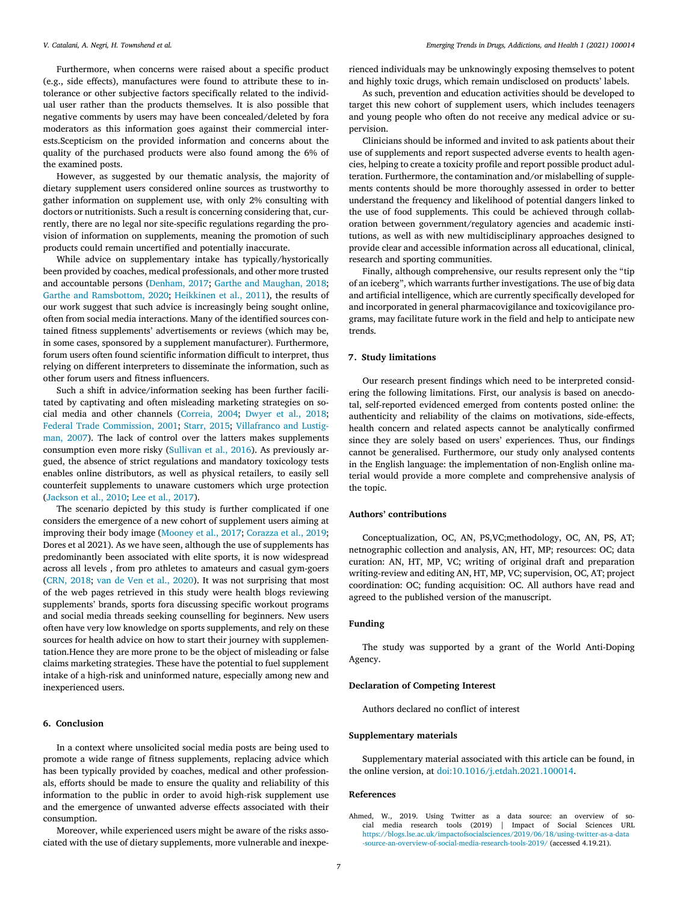<span id="page-6-0"></span>Furthermore, when concerns were raised about a specific product (e.g., side effects), manufactures were found to attribute these to intolerance or other subjective factors specifically related to the individual user rather than the products themselves. It is also possible that negative comments by users may have been concealed/deleted by fora moderators as this information goes against their commercial interests.Scepticism on the provided information and concerns about the quality of the purchased products were also found among the 6% of the examined posts.

However, as suggested by our thematic analysis, the majority of dietary supplement users considered online sources as trustworthy to gather information on supplement use, with only 2% consulting with doctors or nutritionists. Such a result is concerning considering that, currently, there are no legal nor site-specific regulations regarding the provision of information on supplements, meaning the promotion of such products could remain uncertified and potentially inaccurate.

While advice on supplementary intake has typically/hystorically been provided by coaches, medical professionals, and other more trusted and accountable persons [\(Denham,](#page-7-0) 2017; Garthe and [Maughan,](#page-7-0) 2018; Garthe and [Ramsbottom,](#page-7-0) 2020; [Heikkinen](#page-7-0) et al., 2011), the results of our work suggest that such advice is increasingly being sought online, often from social media interactions. Many of the identified sources contained fitness supplements' advertisements or reviews (which may be, in some cases, sponsored by a supplement manufacturer). Furthermore, forum users often found scientific information difficult to interpret, thus relying on different interpreters to disseminate the information, such as other forum users and fitness influencers.

Such a shift in advice/information seeking has been further facilitated by captivating and often misleading marketing strategies on social media and other channels [\(Correia,](#page-7-0) 2004; [Dwyer](#page-7-0) et al., 2018; Federal Trade [Commission,](#page-7-0) 2001; [Starr,](#page-7-0) 2015; Villafranco and Lustigman, 2007). The lack of control over the latters makes supplements consumption even more risky [\(Sullivan](#page-7-0) et al., 2016). As previously argued, the absence of strict regulations and mandatory toxicology tests enables online distributors, as well as physical retailers, to easily sell counterfeit supplements to unaware customers which urge protection [\(Jackson](#page-7-0) et al., 2010; Lee et al., [2017\)](#page-7-0).

The scenario depicted by this study is further complicated if one considers the emergence of a new cohort of supplement users aiming at improving their body image [\(Mooney](#page-7-0) et al., 2017; [Corazza](#page-7-0) et al., 2019; Dores et al 2021). As we have seen, although the use of supplements has predominantly been associated with elite sports, it is now widespread across all levels , from pro athletes to amateurs and casual gym-goers [\(CRN,](#page-7-0) 2018; van de Ven et al., [2020\)](#page-7-0). It was not surprising that most of the web pages retrieved in this study were health blogs reviewing supplements' brands, sports fora discussing specific workout programs and social media threads seeking counselling for beginners. New users often have very low knowledge on sports supplements, and rely on these sources for health advice on how to start their journey with supplementation.Hence they are more prone to be the object of misleading or false claims marketing strategies. These have the potential to fuel supplement intake of a high-risk and uninformed nature, especially among new and inexperienced users.

#### **6. Conclusion**

In a context where unsolicited social media posts are being used to promote a wide range of fitness supplements, replacing advice which has been typically provided by coaches, medical and other professionals, efforts should be made to ensure the quality and reliability of this information to the public in order to avoid high-risk supplement use and the emergence of unwanted adverse effects associated with their consumption.

Moreover, while experienced users might be aware of the risks associated with the use of dietary supplements, more vulnerable and inexperienced individuals may be unknowingly exposing themselves to potent and highly toxic drugs, which remain undisclosed on products' labels.

As such, prevention and education activities should be developed to target this new cohort of supplement users, which includes teenagers and young people who often do not receive any medical advice or supervision.

Clinicians should be informed and invited to ask patients about their use of supplements and report suspected adverse events to health agencies, helping to create a toxicity profile and report possible product adulteration. Furthermore, the contamination and/or mislabelling of supplements contents should be more thoroughly assessed in order to better understand the frequency and likelihood of potential dangers linked to the use of food supplements. This could be achieved through collaboration between government/regulatory agencies and academic institutions, as well as with new multidisciplinary approaches designed to provide clear and accessible information across all educational, clinical, research and sporting communities.

Finally, although comprehensive, our results represent only the "tip of an iceberg", which warrants further investigations. The use of big data and artificial intelligence, which are currently specifically developed for and incorporated in general pharmacovigilance and toxicovigilance programs, may facilitate future work in the field and help to anticipate new trends.

# **7. Study limitations**

Our research present findings which need to be interpreted considering the following limitations. First, our analysis is based on anecdotal, self-reported evidenced emerged from contents posted online: the authenticity and reliability of the claims on motivations, side-effects, health concern and related aspects cannot be analytically confirmed since they are solely based on users' experiences. Thus, our findings cannot be generalised. Furthermore, our study only analysed contents in the English language: the implementation of non-English online material would provide a more complete and comprehensive analysis of the topic.

# **Authors' contributions**

Conceptualization, OC, AN, PS,VC;methodology, OC, AN, PS, AT; netnographic collection and analysis, AN, HT, MP; resources: OC; data curation: AN, HT, MP, VC; writing of original draft and preparation writing-review and editing AN, HT, MP, VC; supervision, OC, AT; project coordination: OC; funding acquisition: OC. All authors have read and agreed to the published version of the manuscript.

# **Funding**

The study was supported by a grant of the World Anti-Doping Agency.

# **Declaration of Competing Interest**

Authors declared no conflict of interest

#### **Supplementary materials**

Supplementary material associated with this article can be found, in the online version, at [doi:10.1016/j.etdah.2021.100014.](https://doi.org/10.1016/j.etdah.2021.100014)

# **References**

Ahmed, W., 2019. Using Twitter as a data source: an overview of social media research tools (2019) | Impact of Social Sciences URL [https://blogs.lse.ac.uk/impactofsocialsciences/2019/06/18/using-twitter-as-a-data](https://blogs.lse.ac.uk/impactofsocialsciences/2019/06/18/using-twitter-as-a-data-source-an-overview-of-social-media-research-tools-2019/) -source-an-overview-of-social-media-research-tools-2019/ (accessed 4.19.21).